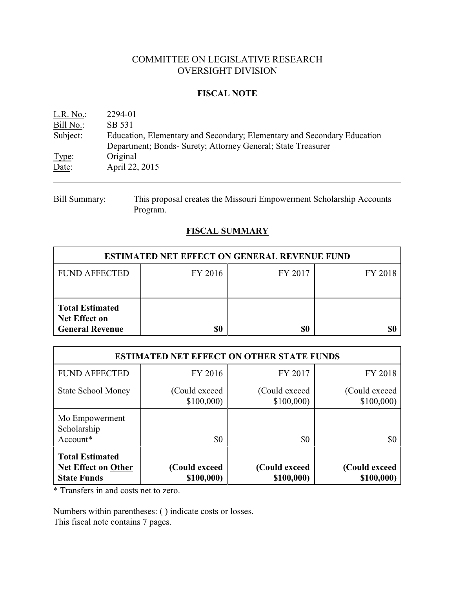## COMMITTEE ON LEGISLATIVE RESEARCH OVERSIGHT DIVISION

### **FISCAL NOTE**

| L.R. No.: | 2294-01                                                                 |
|-----------|-------------------------------------------------------------------------|
| Bill No.: | SB 531                                                                  |
| Subject:  | Education, Elementary and Secondary; Elementary and Secondary Education |
|           | Department; Bonds- Surety; Attorney General; State Treasurer            |
| Type:     | Original                                                                |
| Date:     | April 22, 2015                                                          |

Bill Summary: This proposal creates the Missouri Empowerment Scholarship Accounts Program.

## **FISCAL SUMMARY**

| <b>ESTIMATED NET EFFECT ON GENERAL REVENUE FUND</b>                      |         |         |         |  |  |
|--------------------------------------------------------------------------|---------|---------|---------|--|--|
| <b>FUND AFFECTED</b>                                                     | FY 2016 | FY 2017 | FY 2018 |  |  |
|                                                                          |         |         |         |  |  |
| <b>Total Estimated</b><br><b>Net Effect on</b><br><b>General Revenue</b> |         | \$0     |         |  |  |

| <b>ESTIMATED NET EFFECT ON OTHER STATE FUNDS</b>                           |                             |                             |                             |  |  |
|----------------------------------------------------------------------------|-----------------------------|-----------------------------|-----------------------------|--|--|
| <b>FUND AFFECTED</b>                                                       | FY 2016                     | FY 2017                     | FY 2018                     |  |  |
| <b>State School Money</b>                                                  | (Could exceed)<br>\$100,000 | (Could exceed)<br>\$100,000 | (Could exceed)<br>\$100,000 |  |  |
| Mo Empowerment<br>Scholarship<br>Account*                                  | \$0                         | \$0                         | \$0                         |  |  |
| <b>Total Estimated</b><br><b>Net Effect on Other</b><br><b>State Funds</b> | (Could exceed<br>\$100,000) | (Could exceed<br>\$100,000) | (Could exceed<br>\$100,000) |  |  |

\* Transfers in and costs net to zero.

Numbers within parentheses: ( ) indicate costs or losses. This fiscal note contains 7 pages.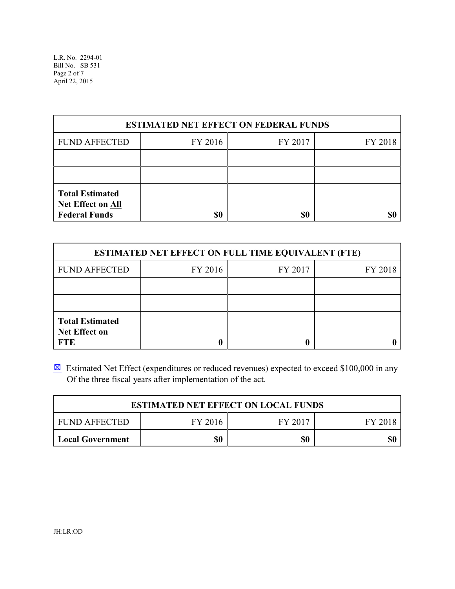L.R. No. 2294-01 Bill No. SB 531 Page 2 of 7 April 22, 2015

| <b>ESTIMATED NET EFFECT ON FEDERAL FUNDS</b>                        |         |         |         |  |  |
|---------------------------------------------------------------------|---------|---------|---------|--|--|
| <b>FUND AFFECTED</b>                                                | FY 2016 | FY 2017 | FY 2018 |  |  |
|                                                                     |         |         |         |  |  |
|                                                                     |         |         |         |  |  |
| <b>Total Estimated</b><br>Net Effect on All<br><b>Federal Funds</b> | \$0     | \$0     |         |  |  |

| <b>ESTIMATED NET EFFECT ON FULL TIME EQUIVALENT (FTE)</b>    |         |         |         |  |  |
|--------------------------------------------------------------|---------|---------|---------|--|--|
| <b>FUND AFFECTED</b>                                         | FY 2016 | FY 2017 | FY 2018 |  |  |
|                                                              |         |         |         |  |  |
|                                                              |         |         |         |  |  |
| <b>Total Estimated</b><br><b>Net Effect on</b><br><b>FTE</b> |         |         |         |  |  |

 $\boxtimes$  Estimated Net Effect (expenditures or reduced revenues) expected to exceed \$100,000 in any Of the three fiscal years after implementation of the act.

| <b>ESTIMATED NET EFFECT ON LOCAL FUNDS</b> |         |         |         |  |
|--------------------------------------------|---------|---------|---------|--|
| FUND AFFECTED                              | FY 2016 | FY 2017 | FY 2018 |  |
| <b>Local Government</b>                    | \$0     | \$0     | \$0     |  |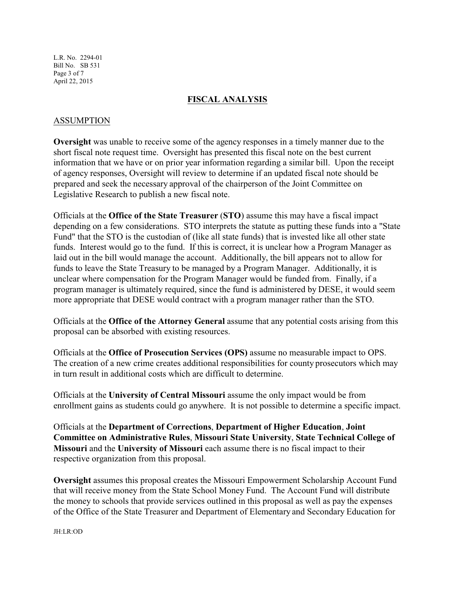L.R. No. 2294-01 Bill No. SB 531 Page 3 of 7 April 22, 2015

### **FISCAL ANALYSIS**

### ASSUMPTION

**Oversight** was unable to receive some of the agency responses in a timely manner due to the short fiscal note request time. Oversight has presented this fiscal note on the best current information that we have or on prior year information regarding a similar bill. Upon the receipt of agency responses, Oversight will review to determine if an updated fiscal note should be prepared and seek the necessary approval of the chairperson of the Joint Committee on Legislative Research to publish a new fiscal note.

Officials at the **Office of the State Treasurer** (**STO**) assume this may have a fiscal impact depending on a few considerations. STO interprets the statute as putting these funds into a "State Fund" that the STO is the custodian of (like all state funds) that is invested like all other state funds. Interest would go to the fund. If this is correct, it is unclear how a Program Manager as laid out in the bill would manage the account. Additionally, the bill appears not to allow for funds to leave the State Treasury to be managed by a Program Manager. Additionally, it is unclear where compensation for the Program Manager would be funded from. Finally, if a program manager is ultimately required, since the fund is administered by DESE, it would seem more appropriate that DESE would contract with a program manager rather than the STO.

Officials at the **Office of the Attorney General** assume that any potential costs arising from this proposal can be absorbed with existing resources.

Officials at the **Office of Prosecution Services (OPS)** assume no measurable impact to OPS. The creation of a new crime creates additional responsibilities for county prosecutors which may in turn result in additional costs which are difficult to determine.

Officials at the **University of Central Missouri** assume the only impact would be from enrollment gains as students could go anywhere. It is not possible to determine a specific impact.

Officials at the **Department of Corrections**, **Department of Higher Education**, **Joint Committee on Administrative Rules**, **Missouri State University**, **State Technical College of Missouri** and the **University of Missouri** each assume there is no fiscal impact to their respective organization from this proposal.

**Oversight** assumes this proposal creates the Missouri Empowerment Scholarship Account Fund that will receive money from the State School Money Fund. The Account Fund will distribute the money to schools that provide services outlined in this proposal as well as pay the expenses of the Office of the State Treasurer and Department of Elementary and Secondary Education for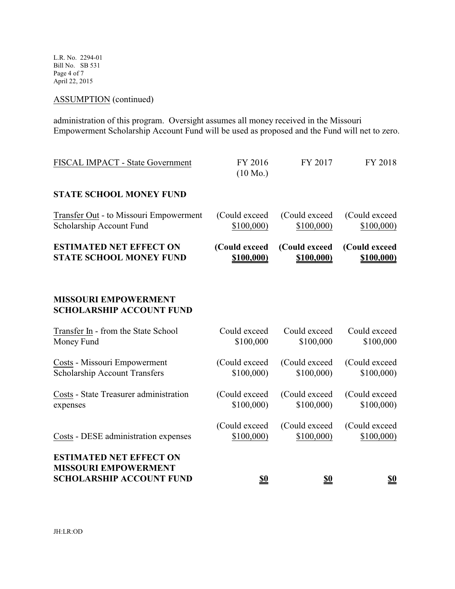L.R. No. 2294-01 Bill No. SB 531 Page 4 of 7 April 22, 2015

# ASSUMPTION (continued)

administration of this program. Oversight assumes all money received in the Missouri Empowerment Scholarship Account Fund will be used as proposed and the Fund will net to zero.

| FISCAL IMPACT - State Government                                                                 | FY 2016<br>$(10 \text{ Mo.})$ | FY 2017       | FY 2018       |
|--------------------------------------------------------------------------------------------------|-------------------------------|---------------|---------------|
| <b>STATE SCHOOL MONEY FUND</b>                                                                   |                               |               |               |
| Transfer Out - to Missouri Empowerment                                                           | (Could exceed                 | (Could exceed | (Could exceed |
| Scholarship Account Fund                                                                         | \$100,000                     | \$100,000     | \$100,000     |
| <b>ESTIMATED NET EFFECT ON</b>                                                                   | (Could exceed                 | (Could exceed | (Could exceed |
| <b>STATE SCHOOL MONEY FUND</b>                                                                   | \$100,000)                    | \$100,000)    | \$100,000)    |
| <b>MISSOURI EMPOWERMENT</b><br><b>SCHOLARSHIP ACCOUNT FUND</b>                                   |                               |               |               |
| Transfer In - from the State School                                                              | Could exceed                  | Could exceed  | Could exceed  |
| Money Fund                                                                                       | \$100,000                     | \$100,000     | \$100,000     |
| Costs - Missouri Empowerment                                                                     | (Could exceed                 | (Could exceed | (Could exceed |
| <b>Scholarship Account Transfers</b>                                                             | \$100,000                     | \$100,000     | \$100,000     |
| Costs - State Treasurer administration                                                           | (Could exceed                 | (Could exceed | (Could exceed |
| expenses                                                                                         | \$100,000                     | \$100,000     | \$100,000     |
| Costs - DESE administration expenses                                                             | (Could exceed                 | (Could exceed | (Could exceed |
|                                                                                                  | \$100,000)                    | \$100,000)    | \$100,000)    |
| <b>ESTIMATED NET EFFECT ON</b><br><b>MISSOURI EMPOWERMENT</b><br><b>SCHOLARSHIP ACCOUNT FUND</b> | \$0                           | \$0           | <b>\$0</b>    |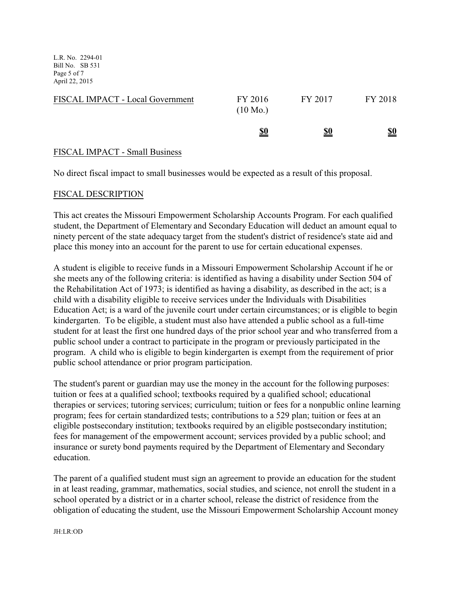L.R. No. 2294-01 Bill No. SB 531 Page 5 of 7 April 22, 2015

| FISCAL IMPACT - Local Government | FY 2016<br>$(10 \text{ Mo.})$ | FY 2017    | FY 2018    |
|----------------------------------|-------------------------------|------------|------------|
|                                  | <u>\$0</u>                    | <u>\$0</u> | <u>\$0</u> |

### FISCAL IMPACT - Small Business

No direct fiscal impact to small businesses would be expected as a result of this proposal.

### FISCAL DESCRIPTION

This act creates the Missouri Empowerment Scholarship Accounts Program. For each qualified student, the Department of Elementary and Secondary Education will deduct an amount equal to ninety percent of the state adequacy target from the student's district of residence's state aid and place this money into an account for the parent to use for certain educational expenses.

A student is eligible to receive funds in a Missouri Empowerment Scholarship Account if he or she meets any of the following criteria: is identified as having a disability under Section 504 of the Rehabilitation Act of 1973; is identified as having a disability, as described in the act; is a child with a disability eligible to receive services under the Individuals with Disabilities Education Act; is a ward of the juvenile court under certain circumstances; or is eligible to begin kindergarten. To be eligible, a student must also have attended a public school as a full-time student for at least the first one hundred days of the prior school year and who transferred from a public school under a contract to participate in the program or previously participated in the program. A child who is eligible to begin kindergarten is exempt from the requirement of prior public school attendance or prior program participation.

The student's parent or guardian may use the money in the account for the following purposes: tuition or fees at a qualified school; textbooks required by a qualified school; educational therapies or services; tutoring services; curriculum; tuition or fees for a nonpublic online learning program; fees for certain standardized tests; contributions to a 529 plan; tuition or fees at an eligible postsecondary institution; textbooks required by an eligible postsecondary institution; fees for management of the empowerment account; services provided by a public school; and insurance or surety bond payments required by the Department of Elementary and Secondary education.

The parent of a qualified student must sign an agreement to provide an education for the student in at least reading, grammar, mathematics, social studies, and science, not enroll the student in a school operated by a district or in a charter school, release the district of residence from the obligation of educating the student, use the Missouri Empowerment Scholarship Account money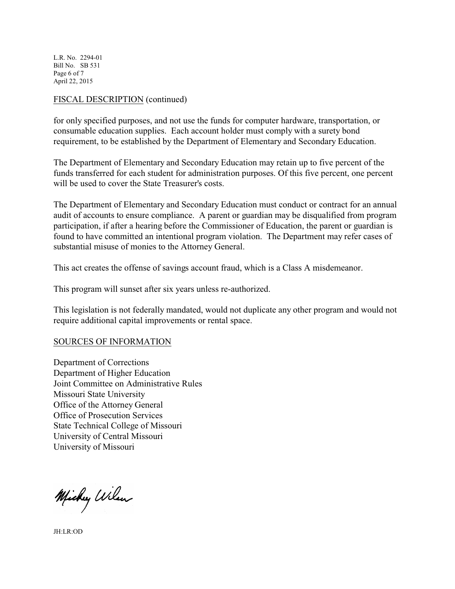L.R. No. 2294-01 Bill No. SB 531 Page 6 of 7 April 22, 2015

### FISCAL DESCRIPTION (continued)

for only specified purposes, and not use the funds for computer hardware, transportation, or consumable education supplies. Each account holder must comply with a surety bond requirement, to be established by the Department of Elementary and Secondary Education.

The Department of Elementary and Secondary Education may retain up to five percent of the funds transferred for each student for administration purposes. Of this five percent, one percent will be used to cover the State Treasurer's costs.

The Department of Elementary and Secondary Education must conduct or contract for an annual audit of accounts to ensure compliance. A parent or guardian may be disqualified from program participation, if after a hearing before the Commissioner of Education, the parent or guardian is found to have committed an intentional program violation. The Department may refer cases of substantial misuse of monies to the Attorney General.

This act creates the offense of savings account fraud, which is a Class A misdemeanor.

This program will sunset after six years unless re-authorized.

This legislation is not federally mandated, would not duplicate any other program and would not require additional capital improvements or rental space.

#### SOURCES OF INFORMATION

Department of Corrections Department of Higher Education Joint Committee on Administrative Rules Missouri State University Office of the Attorney General Office of Prosecution Services State Technical College of Missouri University of Central Missouri University of Missouri

Michy Wilson

JH:LR:OD